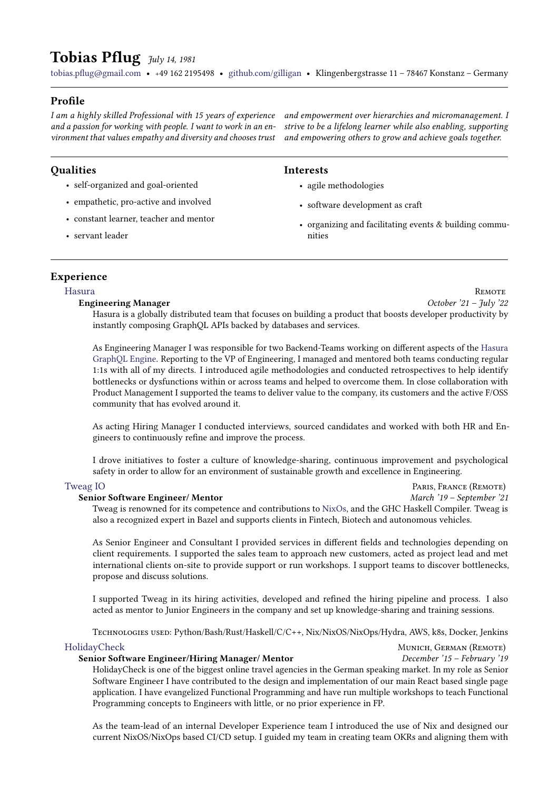# Tobias Pflug  $\frac{7}{10}$   $\frac{1}{14}$ , 1981

[tobias.pflug@gmail.com](mailto:tobias.pflug@gmail.com) · <sup>+</sup>49 162 2195498 · [github.com/gilligan](https://github.com/gilligan) · Klingenbergstrasse 11 – 78467 Konstanz – Germany

# Profile

I am a highly skilled Professional with 15 years of experience and a passion for working with people. I want to work in an environment that values empathy and diversity and chooses trust

# **Qualities**

- self-organized and goal-oriented
- empathetic, pro-active and involved
- constant learner, teacher and mentor
- servant leader

and empowerment over hierarchies and micromanagement. I strive to be a lifelong learner while also enabling, supporting and empowering others to grow and achieve goals together.

## Interests

- agile methodologies
- software development as craft
- organizing and facilitating events & building communities

# Experience

Engineering Manager October '21 – July '22

[Hasura](https://www.hasura.io) Remote

Hasura is a globally distributed team that focuses on building a product that boosts developer productivity by instantly composing GraphQL APIs backed by databases and services.

As Engineering Manager I was responsible for two Backend-Teams working on different aspects of the [Hasura](https://github.com/hasura/graphql-engine) [GraphQL Engine.](https://github.com/hasura/graphql-engine) Reporting to the VP of Engineering, I managed and mentored both teams conducting regular 1:1s with all of my directs. I introduced agile methodologies and conducted retrospectives to help identify bottlenecks or dysfunctions within or across teams and helped to overcome them. In close collaboration with Product Management I supported the teams to deliver value to the company, its customers and the active F/OSS community that has evolved around it.

As acting Hiring Manager I conducted interviews, sourced candidates and worked with both HR and Engineers to continuously refine and improve the process.

I drove initiatives to foster a culture of knowledge-sharing, continuous improvement and psychological safety in order to allow for an environment of sustainable growth and excellence in Engineering.

#### [Tweag IO](https://www.tweag.io) **PARIS, FRANCE** (REMOTE)

#### Senior Software Engineer/ Mentor March '19 – September '21

Tweag is renowned for its competence and contributions to [NixOs,](https://nixos.org) and the GHC Haskell Compiler. Tweag is also a recognized expert in Bazel and supports clients in Fintech, Biotech and autonomous vehicles.

As Senior Engineer and Consultant I provided services in different fields and technologies depending on client requirements. I supported the sales team to approach new customers, acted as project lead and met international clients on-site to provide support or run workshops. I support teams to discover bottlenecks, propose and discuss solutions.

I supported Tweag in its hiring activities, developed and refined the hiring pipeline and process. I also acted as mentor to Junior Engineers in the company and set up knowledge-sharing and training sessions.

Technologies used: Python/Bash/Rust/Haskell/C/C++, Nix/NixOS/NixOps/Hydra, AWS, k8s, Docker, Jenkins

#### [HolidayCheck](https://www.holidaycheck.de) Munich, GERMAN (REMOTE)

#### Senior Software Engineer/Hiring Manager/ Mentor December '15 – February '19

HolidayCheck is one of the biggest online travel agencies in the German speaking market. In my role as Senior Software Engineer I have contributed to the design and implementation of our main React based single page application. I have evangelized Functional Programming and have run multiple workshops to teach Functional Programming concepts to Engineers with little, or no prior experience in FP.

As the team-lead of an internal Developer Experience team I introduced the use of Nix and designed our current NixOS/NixOps based CI/CD setup. I guided my team in creating team OKRs and aligning them with